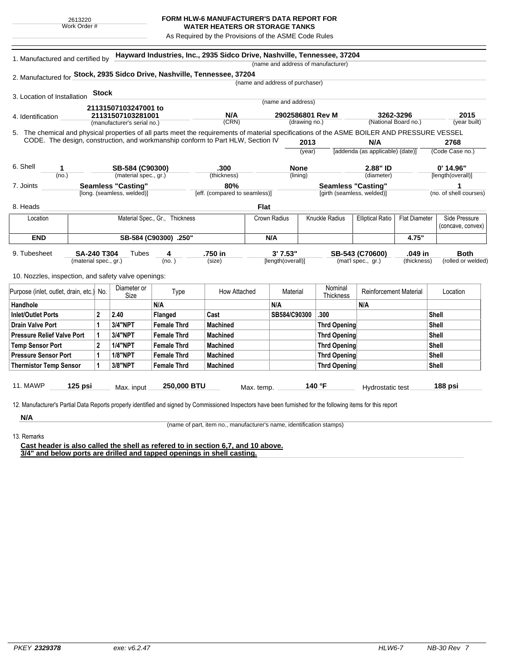## **FORM HLW-6 MANUFACTURER'S DATA REPORT FOR**

**WATER HEATERS OR STORAGE TANKS** As Required by the Provisions of the ASME Code Rules

| 1. Manufactured and certified by                                                                                                             |                           |              |                             | Hayward Industries, Inc., 2935 Sidco Drive, Nashville, Tennessee, 37204 |                               |                                 |                    |               | (name and address of manufacturer) |                                                 |                      |                        |  |
|----------------------------------------------------------------------------------------------------------------------------------------------|---------------------------|--------------|-----------------------------|-------------------------------------------------------------------------|-------------------------------|---------------------------------|--------------------|---------------|------------------------------------|-------------------------------------------------|----------------------|------------------------|--|
| 2. Manufactured for Stock, 2935 Sidco Drive, Nashville, Tennessee, 37204                                                                     |                           |              |                             |                                                                         |                               |                                 |                    |               |                                    |                                                 |                      |                        |  |
|                                                                                                                                              |                           |              |                             |                                                                         |                               | (name and address of purchaser) |                    |               |                                    |                                                 |                      |                        |  |
| 3. Location of Installation                                                                                                                  |                           | <b>Stock</b> |                             |                                                                         |                               |                                 |                    |               |                                    |                                                 |                      |                        |  |
|                                                                                                                                              |                           |              | 21131507103247001 to        |                                                                         |                               |                                 | (name and address) |               |                                    |                                                 |                      |                        |  |
| 4. Identification                                                                                                                            |                           |              | 21131507103281001           |                                                                         | N/A                           | 2902586801 Rev M                |                    | 3262-3296     |                                    |                                                 | 2015                 |                        |  |
|                                                                                                                                              |                           |              | (manufacturer's serial no.) |                                                                         | (CRN)                         |                                 |                    | (drawing no.) |                                    |                                                 | (National Board no.) | (year built)           |  |
| 5. The chemical and physical properties of all parts meet the requirements of material specifications of the ASME BOILER AND PRESSURE VESSEL |                           |              |                             |                                                                         |                               |                                 |                    |               |                                    |                                                 |                      |                        |  |
| CODE. The design, construction, and workmanship conform to Part HLW, Section IV                                                              |                           |              |                             |                                                                         |                               |                                 | 2013               |               |                                    | N/A<br>[addenda (as applicable) (date)]         |                      | 2768                   |  |
|                                                                                                                                              |                           |              |                             |                                                                         |                               |                                 |                    | (year)        |                                    |                                                 |                      | (Code Case no.)        |  |
| 6. Shell<br>1                                                                                                                                | SB-584 (C90300)           |              |                             | .300                                                                    |                               | <b>None</b>                     |                    | 2.88" ID      |                                    |                                                 | 0' 14.96"            |                        |  |
| (no.)<br>(material spec., gr.)                                                                                                               |                           |              |                             | (thickness)                                                             |                               | (lining)                        |                    |               | (diameter)                         |                                                 | [length(overall)]    |                        |  |
| 7. Joints                                                                                                                                    | <b>Seamless "Casting"</b> |              |                             |                                                                         | 80%                           |                                 |                    |               |                                    | <b>Seamless "Casting"</b>                       |                      | 1                      |  |
|                                                                                                                                              |                           |              | [long. (seamless, welded)]  |                                                                         | [eff. (compared to seamless)] |                                 |                    |               | [girth (seamless, welded)]         |                                                 |                      | (no. of shell courses) |  |
| 8. Heads                                                                                                                                     |                           |              |                             |                                                                         |                               | <b>Flat</b>                     |                    |               |                                    |                                                 |                      |                        |  |
| Location                                                                                                                                     |                           |              |                             | Material Spec., Gr., Thickness                                          |                               |                                 | Crown Radius       |               | <b>Knuckle Radius</b>              | <b>Elliptical Ratio</b><br><b>Flat Diameter</b> |                      | Side Pressure          |  |
|                                                                                                                                              |                           |              |                             |                                                                         |                               |                                 |                    |               |                                    |                                                 |                      | (concave, convex)      |  |
| <b>END</b><br>SB-584 (C90300) .250"                                                                                                          |                           |              |                             |                                                                         | N/A                           |                                 |                    |               | 4.75"                              |                                                 |                      |                        |  |
| 9. Tubesheet                                                                                                                                 | <b>SA-240 T304</b>        |              | Tubes                       | 4                                                                       | .750 in                       |                                 | 3'7.53"            |               |                                    | SB-543 (C70600)                                 | .049 in              | <b>Both</b>            |  |
|                                                                                                                                              | (material spec., gr.)     |              |                             | (no. )                                                                  | (size)                        |                                 | [length(overall)]  |               |                                    | (mat'l spec., gr.)                              | (thickness)          | (rolled or welded)     |  |
|                                                                                                                                              |                           |              |                             |                                                                         |                               |                                 |                    |               |                                    |                                                 |                      |                        |  |
| 10. Nozzles, inspection, and safety valve openings:                                                                                          |                           |              |                             |                                                                         |                               |                                 |                    |               |                                    |                                                 |                      |                        |  |
| Purpose (inlet, outlet, drain, etc.) No.                                                                                                     |                           |              | Diameter or<br>Size         | Type                                                                    | How Attached                  |                                 | Material           |               | Nominal<br>Thickness               | Reinforcement Material                          |                      | Location               |  |
| Handhole                                                                                                                                     |                           |              |                             | N/A                                                                     |                               |                                 | N/A                |               |                                    | N/A                                             |                      |                        |  |
| <b>Inlet/Outlet Ports</b>                                                                                                                    |                           | $\mathbf{2}$ | 2.40                        | Flanged                                                                 | Cast                          |                                 | SB584/C90300       |               | .300                               |                                                 |                      | Shell                  |  |
| <b>Drain Valve Port</b>                                                                                                                      |                           | $\mathbf{1}$ | <b>3/4"NPT</b>              | <b>Female Thrd</b>                                                      | <b>Machined</b>               |                                 |                    |               | <b>Thrd Opening</b>                |                                                 |                      | <b>Shell</b>           |  |
| <b>Pressure Relief Valve Port</b>                                                                                                            |                           | 1            | <b>3/4"NPT</b>              | <b>Female Thrd</b>                                                      | <b>Machined</b>               |                                 |                    |               | <b>Thrd Opening</b>                |                                                 |                      | Shell                  |  |
| <b>Temp Sensor Port</b>                                                                                                                      |                           | $\mathbf{2}$ | <b>1/4"NPT</b>              | <b>Female Thrd</b>                                                      | <b>Machined</b>               |                                 |                    |               | <b>Thrd Opening</b>                |                                                 |                      | <b>Shell</b>           |  |
| <b>Pressure Sensor Port</b>                                                                                                                  |                           | 1            | <b>1/8"NPT</b>              | <b>Female Thrd</b>                                                      | <b>Machined</b>               |                                 |                    |               | <b>Thrd Opening</b>                |                                                 |                      | <b>Shell</b>           |  |
| <b>Thermistor Temp Sensor</b>                                                                                                                |                           | 1            | 3/8"NPT                     | <b>Female Thrd</b>                                                      | <b>Machined</b>               |                                 |                    |               | <b>Thrd Opening</b>                |                                                 |                      | Shell                  |  |
|                                                                                                                                              |                           |              |                             |                                                                         |                               |                                 |                    |               |                                    |                                                 |                      |                        |  |
| <b>11. MAWP</b>                                                                                                                              | 125 psi                   |              | Max. input                  | 250,000 BTU                                                             |                               | Max. temp.                      |                    |               | 140 °F                             | Hydrostatic test                                |                      | 188 psi                |  |

13. Remarks

**N/A**

(name of part, item no., manufacturer's name, identification stamps)

**Cast header is also called the shell as refered to in section 6,7, and 10 above. 3/4" and below ports are drilled and tapped openings in shell casting.**